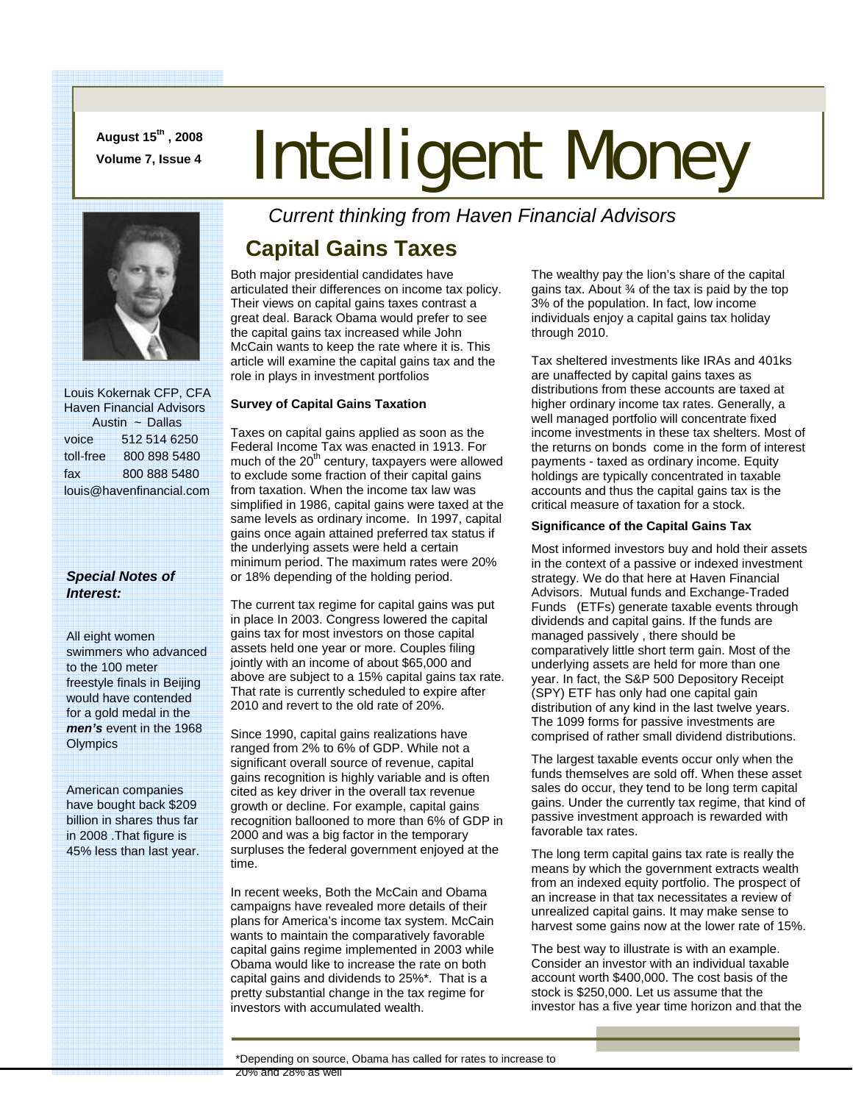**August 15th , 2008** 

# August 15", 2008 **Intelligent Money**



 Louis Kokernak CFP, CFA Haven Financial Advisors Austin ~ Dallas voice 512 514 6250 toll-free 800 898 5480 fax 800 888 5480 louis@havenfinancial.com

#### *Special Notes of Interest:*

All eight women swimmers who advanced to the 100 meter freestyle finals in Beijing would have contended for a gold medal in the *men's* event in the 1968 **Olympics** 

American companies have bought back \$209 billion in shares thus far in 2008 .That figure is 45% less than last year. *Current thinking from Haven Financial Advisors* 

# **Capital Gains Taxes**

Both major presidential candidates have articulated their differences on income tax policy. Their views on capital gains taxes contrast a great deal. Barack Obama would prefer to see the capital gains tax increased while John McCain wants to keep the rate where it is. This article will examine the capital gains tax and the role in plays in investment portfolios

#### **Survey of Capital Gains Taxation**

Taxes on capital gains applied as soon as the Federal Income Tax was enacted in 1913. For much of the  $20<sup>th</sup>$  century, taxpayers were allowed to exclude some fraction of their capital gains from taxation. When the income tax law was simplified in 1986, capital gains were taxed at the same levels as ordinary income. In 1997, capital gains once again attained preferred tax status if the underlying assets were held a certain minimum period. The maximum rates were 20% or 18% depending of the holding period.

The current tax regime for capital gains was put in place In 2003. Congress lowered the capital gains tax for most investors on those capital assets held one year or more. Couples filing jointly with an income of about \$65,000 and above are subject to a 15% capital gains tax rate. That rate is currently scheduled to expire after 2010 and revert to the old rate of 20%.

Since 1990, capital gains realizations have ranged from 2% to 6% of GDP. While not a significant overall source of revenue, capital gains recognition is highly variable and is often cited as key driver in the overall tax revenue growth or decline. For example, capital gains recognition ballooned to more than 6% of GDP in 2000 and was a big factor in the temporary surpluses the federal government enjoyed at the time.

In recent weeks, Both the McCain and Obama campaigns have revealed more details of their plans for America's income tax system. McCain wants to maintain the comparatively favorable capital gains regime implemented in 2003 while Obama would like to increase the rate on both capital gains and dividends to 25%\*. That is a pretty substantial change in the tax regime for investors with accumulated wealth.

The wealthy pay the lion's share of the capital gains tax. About ¾ of the tax is paid by the top 3% of the population. In fact, low income individuals enjoy a capital gains tax holiday through 2010.

Tax sheltered investments like IRAs and 401ks are unaffected by capital gains taxes as distributions from these accounts are taxed at higher ordinary income tax rates. Generally, a well managed portfolio will concentrate fixed income investments in these tax shelters. Most of the returns on bonds come in the form of interest payments - taxed as ordinary income. Equity holdings are typically concentrated in taxable accounts and thus the capital gains tax is the critical measure of taxation for a stock.

#### **Significance of the Capital Gains Tax**

Most informed investors buy and hold their assets in the context of a passive or indexed investment strategy. We do that here at Haven Financial Advisors. Mutual funds and Exchange-Traded Funds (ETFs) generate taxable events through dividends and capital gains. If the funds are managed passively , there should be comparatively little short term gain. Most of the underlying assets are held for more than one year. In fact, the S&P 500 Depository Receipt (SPY) ETF has only had one capital gain distribution of any kind in the last twelve years. The 1099 forms for passive investments are comprised of rather small dividend distributions.

The largest taxable events occur only when the funds themselves are sold off. When these asset sales do occur, they tend to be long term capital gains. Under the currently tax regime, that kind of passive investment approach is rewarded with favorable tax rates.

The long term capital gains tax rate is really the means by which the government extracts wealth from an indexed equity portfolio. The prospect of an increase in that tax necessitates a review of unrealized capital gains. It may make sense to harvest some gains now at the lower rate of 15%.

The best way to illustrate is with an example. Consider an investor with an individual taxable account worth \$400,000. The cost basis of the stock is \$250,000. Let us assume that the investor has a five year time horizon and that the